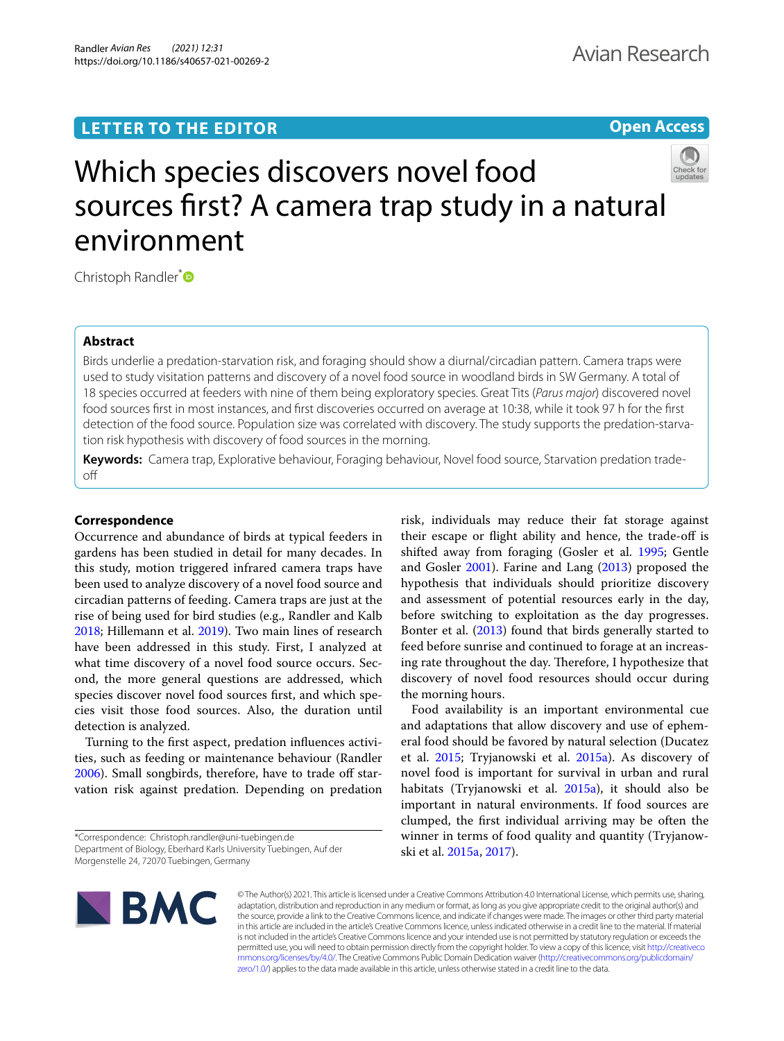# **LETTER TO THE EDITOR**

# **Open Access**



# Which species discovers novel food sources frst? A camera trap study in a natural environment

Christoph Randler[\\*](http://orcid.org/0000-0002-7357-2793)<sup>®</sup>

# **Abstract**

Birds underlie a predation-starvation risk, and foraging should show a diurnal/circadian pattern. Camera traps were used to study visitation patterns and discovery of a novel food source in woodland birds in SW Germany. A total of 18 species occurred at feeders with nine of them being exploratory species. Great Tits (*Parus major*) discovered novel food sources frst in most instances, and frst discoveries occurred on average at 10:38, while it took 97 h for the frst detection of the food source. Population size was correlated with discovery. The study supports the predation-starvation risk hypothesis with discovery of food sources in the morning.

**Keywords:** Camera trap, Explorative behaviour, Foraging behaviour, Novel food source, Starvation predation tradeof

## **Correspondence**

Occurrence and abundance of birds at typical feeders in gardens has been studied in detail for many decades. In this study, motion triggered infrared camera traps have been used to analyze discovery of a novel food source and circadian patterns of feeding. Camera traps are just at the rise of being used for bird studies (e.g., Randler and Kalb [2018](#page-3-0); Hillemann et al. [2019](#page-3-1)). Two main lines of research have been addressed in this study. First, I analyzed at what time discovery of a novel food source occurs. Second, the more general questions are addressed, which species discover novel food sources frst, and which species visit those food sources. Also, the duration until detection is analyzed.

Turning to the frst aspect, predation infuences activities, such as feeding or maintenance behaviour (Randler [2006](#page-3-2)). Small songbirds, therefore, have to trade off starvation risk against predation. Depending on predation

\*Correspondence: Christoph.randler@uni-tuebingen.de Department of Biology, Eberhard Karls University Tuebingen, Auf der Morgenstelle 24, 72070 Tuebingen, Germany

risk, individuals may reduce their fat storage against their escape or fight ability and hence, the trade-of is shifted away from foraging (Gosler et al. [1995](#page-3-3); Gentle and Gosler [2001\)](#page-3-4). Farine and Lang [\(2013](#page-3-5)) proposed the hypothesis that individuals should prioritize discovery and assessment of potential resources early in the day, before switching to exploitation as the day progresses. Bonter et al. [\(2013](#page-3-6)) found that birds generally started to feed before sunrise and continued to forage at an increasing rate throughout the day. Therefore, I hypothesize that discovery of novel food resources should occur during the morning hours.

Food availability is an important environmental cue and adaptations that allow discovery and use of ephemeral food should be favored by natural selection (Ducatez et al. [2015](#page-3-7); Tryjanowski et al. [2015a\)](#page-3-0). As discovery of novel food is important for survival in urban and rural habitats (Tryjanowski et al. [2015a](#page-3-0)), it should also be important in natural environments. If food sources are clumped, the frst individual arriving may be often the winner in terms of food quality and quantity (Tryjanowski et al. [2015a](#page-3-0), [2017\)](#page-3-8).



© The Author(s) 2021. This article is licensed under a Creative Commons Attribution 4.0 International License, which permits use, sharing, adaptation, distribution and reproduction in any medium or format, as long as you give appropriate credit to the original author(s) and the source, provide a link to the Creative Commons licence, and indicate if changes were made. The images or other third party material in this article are included in the article's Creative Commons licence, unless indicated otherwise in a credit line to the material. If material is not included in the article's Creative Commons licence and your intended use is not permitted by statutory regulation or exceeds the permitted use, you will need to obtain permission directly from the copyright holder. To view a copy of this licence, visit [http://creativeco](http://creativecommons.org/licenses/by/4.0/) [mmons.org/licenses/by/4.0/.](http://creativecommons.org/licenses/by/4.0/) The Creative Commons Public Domain Dedication waiver ([http://creativecommons.org/publicdomain/](http://creativecommons.org/publicdomain/zero/1.0/) [zero/1.0/\)](http://creativecommons.org/publicdomain/zero/1.0/) applies to the data made available in this article, unless otherwise stated in a credit line to the data.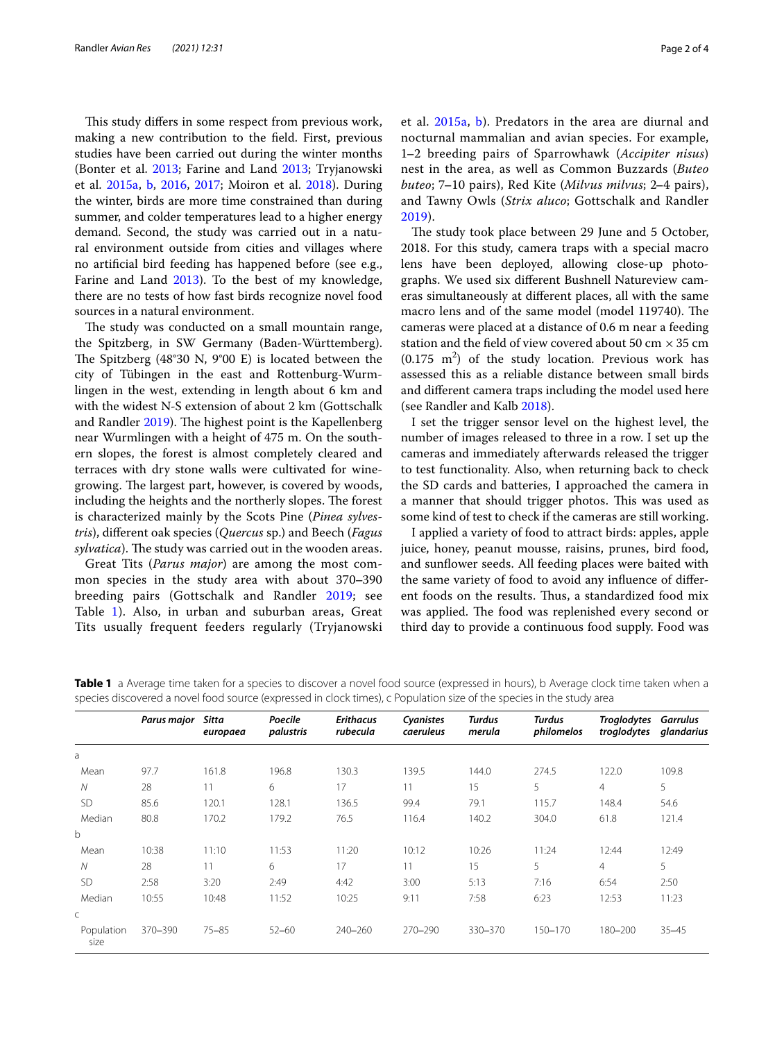This study differs in some respect from previous work, making a new contribution to the feld. First, previous studies have been carried out during the winter months (Bonter et al. [2013;](#page-3-6) Farine and Land [2013](#page-3-5); Tryjanowski et al. [2015a](#page-3-0), [b](#page-3-9), [2016,](#page-3-10) [2017;](#page-3-8) Moiron et al. [2018](#page-3-11)). During the winter, birds are more time constrained than during summer, and colder temperatures lead to a higher energy demand. Second, the study was carried out in a natural environment outside from cities and villages where no artifcial bird feeding has happened before (see e.g., Farine and Land [2013](#page-3-5)). To the best of my knowledge, there are no tests of how fast birds recognize novel food sources in a natural environment.

The study was conducted on a small mountain range, the Spitzberg, in SW Germany (Baden-Württemberg). The Spitzberg  $(48°30 \text{ N}, 9°00 \text{ E})$  is located between the city of Tübingen in the east and Rottenburg-Wurmlingen in the west, extending in length about 6 km and with the widest N-S extension of about 2 km (Gottschalk and Randler  $2019$ ). The highest point is the Kapellenberg near Wurmlingen with a height of 475 m. On the southern slopes, the forest is almost completely cleared and terraces with dry stone walls were cultivated for winegrowing. The largest part, however, is covered by woods, including the heights and the northerly slopes. The forest is characterized mainly by the Scots Pine (*Pinea sylvestris*), diferent oak species (*Quercus* sp.) and Beech (*Fagus sylvatica*). The study was carried out in the wooden areas.

Great Tits (*Parus major*) are among the most common species in the study area with about 370‒390 breeding pairs (Gottschalk and Randler [2019;](#page-3-12) see Table [1\)](#page-1-0). Also, in urban and suburban areas, Great Tits usually frequent feeders regularly (Tryjanowski et al. [2015a](#page-3-0), [b\)](#page-3-9). Predators in the area are diurnal and nocturnal mammalian and avian species. For example, 1‒2 breeding pairs of Sparrowhawk (*Accipiter nisus*) nest in the area, as well as Common Buzzards (*Buteo buteo*; 7‒10 pairs), Red Kite (*Milvus milvus*; 2‒4 pairs), and Tawny Owls (*Strix aluco*; Gottschalk and Randler [2019\)](#page-3-12).

The study took place between 29 June and 5 October, 2018. For this study, camera traps with a special macro lens have been deployed, allowing close-up photographs. We used six diferent Bushnell Natureview cameras simultaneously at diferent places, all with the same macro lens and of the same model (model 119740). The cameras were placed at a distance of 0.6 m near a feeding station and the field of view covered about 50 cm  $\times$  35 cm  $(0.175 \text{ m}^2)$  of the study location. Previous work has assessed this as a reliable distance between small birds and diferent camera traps including the model used here (see Randler and Kalb [2018\)](#page-3-0).

I set the trigger sensor level on the highest level, the number of images released to three in a row. I set up the cameras and immediately afterwards released the trigger to test functionality. Also, when returning back to check the SD cards and batteries, I approached the camera in a manner that should trigger photos. This was used as some kind of test to check if the cameras are still working.

I applied a variety of food to attract birds: apples, apple juice, honey, peanut mousse, raisins, prunes, bird food, and sunfower seeds. All feeding places were baited with the same variety of food to avoid any infuence of diferent foods on the results. Thus, a standardized food mix was applied. The food was replenished every second or third day to provide a continuous food supply. Food was

|                    | Parus major | Sitta<br>europaea | Poecile<br>palustris | <b>Erithacus</b><br>rubecula | Cyanistes<br>caeruleus | Turdus<br>merula | Turdus<br>philomelos | <b>Troglodytes</b><br>troglodytes | Garrulus<br>glandarius |
|--------------------|-------------|-------------------|----------------------|------------------------------|------------------------|------------------|----------------------|-----------------------------------|------------------------|
| a                  |             |                   |                      |                              |                        |                  |                      |                                   |                        |
| Mean               | 97.7        | 161.8             | 196.8                | 130.3                        | 139.5                  | 144.0            | 274.5                | 122.0                             | 109.8                  |
| $\mathcal N$       | 28          | 11                | 6                    | 17                           | 11                     | 15               | 5                    | $\overline{4}$                    | 5                      |
| <b>SD</b>          | 85.6        | 120.1             | 128.1                | 136.5                        | 99.4                   | 79.1             | 115.7                | 148.4                             | 54.6                   |
| Median             | 80.8        | 170.2             | 179.2                | 76.5                         | 116.4                  | 140.2            | 304.0                | 61.8                              | 121.4                  |
| $\mathbf b$        |             |                   |                      |                              |                        |                  |                      |                                   |                        |
| Mean               | 10:38       | 11:10             | 11:53                | 11:20                        | 10:12                  | 10:26            | 11:24                | 12:44                             | 12:49                  |
| $\mathcal N$       | 28          | 11                | 6                    | 17                           | 11                     | 15               | 5                    | $\overline{4}$                    | 5                      |
| <b>SD</b>          | 2:58        | 3:20              | 2:49                 | 4:42                         | 3:00                   | 5:13             | 7:16                 | 6:54                              | 2:50                   |
| Median             | 10:55       | 10:48             | 11:52                | 10:25                        | 9:11                   | 7:58             | 6:23                 | 12:53                             | 11:23                  |
| $\mathsf{C}$       |             |                   |                      |                              |                        |                  |                      |                                   |                        |
| Population<br>size | 370-390     | $75 - 85$         | $52 - 60$            | 240-260                      | 270-290                | 330-370          | 150-170              | 180-200                           | $35 - 45$              |

<span id="page-1-0"></span>**Table 1** a Average time taken for a species to discover a novel food source (expressed in hours), b Average clock time taken when a species discovered a novel food source (expressed in clock times), c Population size of the species in the study area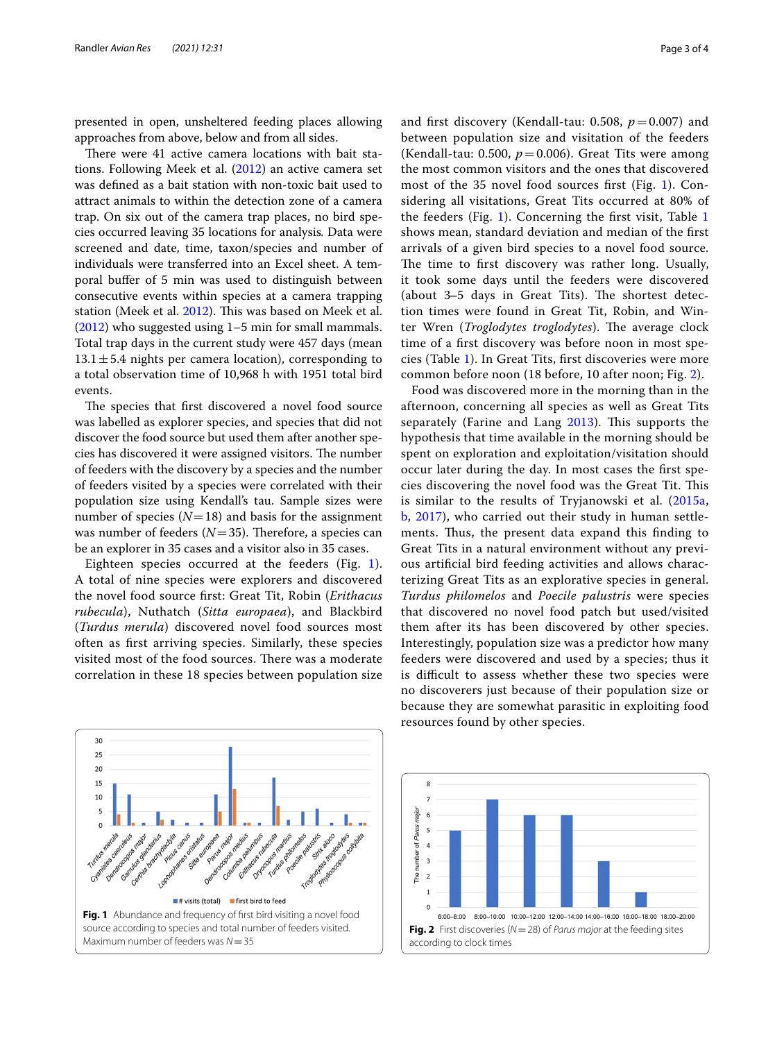presented in open, unsheltered feeding places allowing approaches from above, below and from all sides.

There were 41 active camera locations with bait stations. Following Meek et al. [\(2012\)](#page-3-13) an active camera set was defned as a bait station with non-toxic bait used to attract animals to within the detection zone of a camera trap. On six out of the camera trap places, no bird species occurred leaving 35 locations for analysis*.* Data were screened and date, time, taxon/species and number of individuals were transferred into an Excel sheet. A temporal bufer of 5 min was used to distinguish between consecutive events within species at a camera trapping station (Meek et al. [2012\)](#page-3-13). This was based on Meek et al. ([2012\)](#page-3-13) who suggested using 1–5 min for small mammals. Total trap days in the current study were 457 days (mean  $13.1 \pm 5.4$  nights per camera location), corresponding to a total observation time of 10,968 h with 1951 total bird events.

The species that first discovered a novel food source was labelled as explorer species, and species that did not discover the food source but used them after another species has discovered it were assigned visitors. The number of feeders with the discovery by a species and the number of feeders visited by a species were correlated with their population size using Kendall's tau. Sample sizes were number of species  $(N=18)$  and basis for the assignment was number of feeders  $(N=35)$ . Therefore, a species can be an explorer in 35 cases and a visitor also in 35 cases.

Eighteen species occurred at the feeders (Fig. [1\)](#page-2-0). A total of nine species were explorers and discovered the novel food source frst: Great Tit, Robin (*Erithacus rubecula*), Nuthatch (*Sitta europaea*), and Blackbird (*Turdus merula*) discovered novel food sources most often as frst arriving species. Similarly, these species visited most of the food sources. There was a moderate correlation in these 18 species between population size and first discovery (Kendall-tau: 0.508,  $p = 0.007$ ) and between population size and visitation of the feeders (Kendall-tau: 0.500,  $p = 0.006$ ). Great Tits were among the most common visitors and the ones that discovered most of the 35 novel food sources frst (Fig. [1\)](#page-2-0). Considering all visitations, Great Tits occurred at 80% of the feeders (Fig. [1](#page-2-0)). Concerning the frst visit, Table [1](#page-1-0) shows mean, standard deviation and median of the frst arrivals of a given bird species to a novel food source. The time to first discovery was rather long. Usually, it took some days until the feeders were discovered (about  $3-5$  days in Great Tits). The shortest detection times were found in Great Tit, Robin, and Winter Wren (*Troglodytes troglodytes*). The average clock time of a frst discovery was before noon in most species (Table [1](#page-1-0)). In Great Tits, frst discoveries were more common before noon (18 before, 10 after noon; Fig. [2\)](#page-2-1).

Food was discovered more in the morning than in the afternoon, concerning all species as well as Great Tits separately (Farine and Lang  $2013$ ). This supports the hypothesis that time available in the morning should be spent on exploration and exploitation/visitation should occur later during the day. In most cases the frst species discovering the novel food was the Great Tit. This is similar to the results of Tryjanowski et al. [\(2015a](#page-3-0), [b](#page-3-9), [2017](#page-3-8)), who carried out their study in human settlements. Thus, the present data expand this finding to Great Tits in a natural environment without any previous artifcial bird feeding activities and allows characterizing Great Tits as an explorative species in general. *Turdus philomelos* and *Poecile palustris* were species that discovered no novel food patch but used/visited them after its has been discovered by other species. Interestingly, population size was a predictor how many feeders were discovered and used by a species; thus it is difficult to assess whether these two species were no discoverers just because of their population size or because they are somewhat parasitic in exploiting food resources found by other species.

<span id="page-2-0"></span>

<span id="page-2-1"></span>